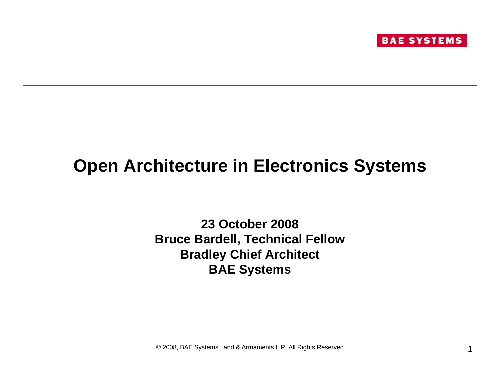

### **Open Architecture in Electronics Systems**

**23 October 2008Bruce Bardell, Technical Fellow Bradley Chief Architect BAE Systems**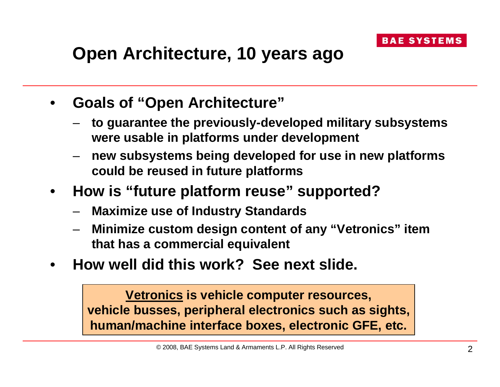# **Open Architecture, 10 years ago**

- • **Goals of "Open Architecture"**
	- **to guarantee the previously-developed military subsystems were usable in platforms under development**
	- **new subsystems being developed for use in new platforms could be reused in future platforms**
- • **How is "future platform reuse" supported?**
	- **Maximize use of Industry Standards**
	- **Minimize custom design content of any "Vetronics" item that has a commercial equivalent**
- •**How well did this work? See next slide.**

**Vetronics is vehicle computer resources, vehicle busses, peripheral electronics such as sights, human/machine interface boxes, electronic GFE, etc.**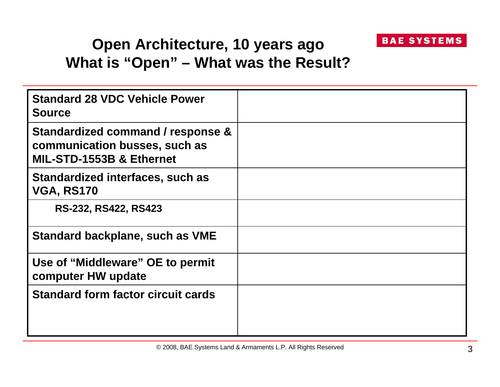#### **Open Architecture, 10 years ago What is "Open" – What was the Result?**

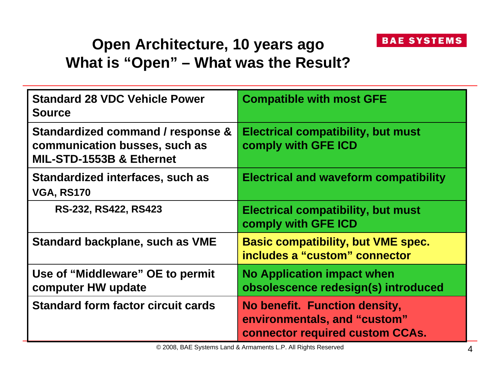#### **Open Architecture, 10 years ago What is "Open" – What was the Result?**

| <b>Standard 28 VDC Vehicle Power</b><br><b>Source</b>                                          | <b>Compatible with most GFE</b>                                                                         |
|------------------------------------------------------------------------------------------------|---------------------------------------------------------------------------------------------------------|
| Standardized command / response &<br>communication busses, such as<br>MIL-STD-1553B & Ethernet | <b>Electrical compatibility, but must</b><br>comply with GFE ICD                                        |
| Standardized interfaces, such as<br><b>VGA, RS170</b>                                          | <b>Electrical and waveform compatibility</b>                                                            |
| RS-232, RS422, RS423                                                                           | <b>Electrical compatibility, but must</b><br>comply with GFE ICD                                        |
| <b>Standard backplane, such as VME</b>                                                         | <b>Basic compatibility, but VME spec.</b><br>includes a "custom" connector                              |
| Use of "Middleware" OE to permit<br>computer HW update                                         | <b>No Application impact when</b><br>obsolescence redesign(s) introduced                                |
| <b>Standard form factor circuit cards</b>                                                      | No benefit. Function density,<br>environmentals, and "custom"<br><b>connector required custom CCAs.</b> |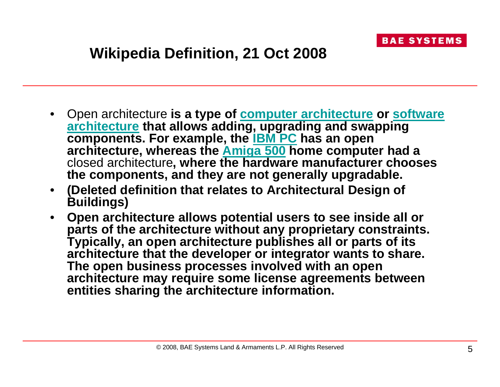

### **Wikipedia Definition, 21 Oct 2008**

- • Open architecture **is a type of [computer architecture](http://en.wikipedia.org/wiki/Computer_architecture) [or software](http://en.wikipedia.org/wiki/Software_architecture)  [architecture](http://en.wikipedia.org/wiki/Software_architecture) [that allows adding, upgrading and swapping](http://en.wikipedia.org/wiki/Software_architecture)  components. For example, the IBM PC has an open architecture, whereas the [Amiga 500](http://en.wikipedia.org/wiki/Amiga_500) home computer had a**  closed architecture**, where the hardware manufacturer chooses the components, and they are not generally upgradable.**
- $\bullet$  **(Deleted definition that relates to Architectural Design of Buildings)**
- • **Open architecture allows potential users to see inside all or parts of the architecture without any proprietary constraints. Typically, an open architecture publishes all or parts of its architecture that the developer or integrator wants to share. The open business processes involved with an open architecture may require some license agreements between entities sharing the architecture information.**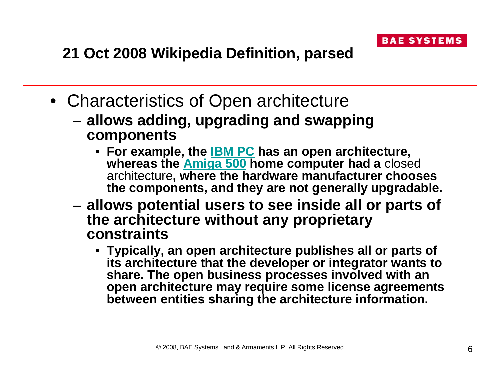**21 Oct 2008 Wikipedia Definition, parsed**

- Characteristics of Open architecture
	- – **allows adding, upgrading and swapping components**
		- **For example, the [IBM PC](http://en.wikipedia.org/wiki/IBM_PC) has an open architecture, whereas the [Amiga 500](http://en.wikipedia.org/wiki/Amiga_500) home computer had a** closed architecture**, where the hardware manufacturer chooses the components, and they are not generally upgradable.**
	- – **allows potential users to see inside all or parts of the architecture without any proprietary constraints**
		- **Typically, an open architecture publishes all or parts of its architecture that the developer or integrator wants to share. The open business processes involved with an open architecture may require some license agreements between entities sharing the architecture information.**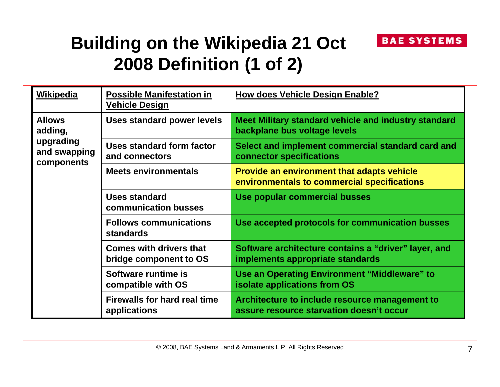# **Building on the Wikipedia 21 Oct 2008 Definition (1 of 2)**

| Wikipedia                                                           | <b>Possible Manifestation in</b><br><b>Vehicle Design</b> | <b>How does Vehicle Design Enable?</b>                                                           |
|---------------------------------------------------------------------|-----------------------------------------------------------|--------------------------------------------------------------------------------------------------|
| <b>Allows</b><br>adding,<br>upgrading<br>and swapping<br>components | Uses standard power levels                                | Meet Military standard vehicle and industry standard<br>backplane bus voltage levels             |
|                                                                     | <b>Uses standard form factor</b><br>and connectors        | Select and implement commercial standard card and<br>connector specifications                    |
|                                                                     | <b>Meets environmentals</b>                               | <b>Provide an environment that adapts vehicle</b><br>environmentals to commercial specifications |
|                                                                     | <b>Uses standard</b><br>communication busses              | Use popular commercial busses                                                                    |
|                                                                     | <b>Follows communications</b><br><b>standards</b>         | Use accepted protocols for communication busses                                                  |
|                                                                     | <b>Comes with drivers that</b><br>bridge component to OS  | Software architecture contains a "driver" layer, and<br>implements appropriate standards         |
|                                                                     | Software runtime is<br>compatible with OS                 | <b>Use an Operating Environment "Middleware" to</b><br>isolate applications from OS              |
|                                                                     | <b>Firewalls for hard real time</b><br>applications       | Architecture to include resource management to<br>assure resource starvation doesn't occur       |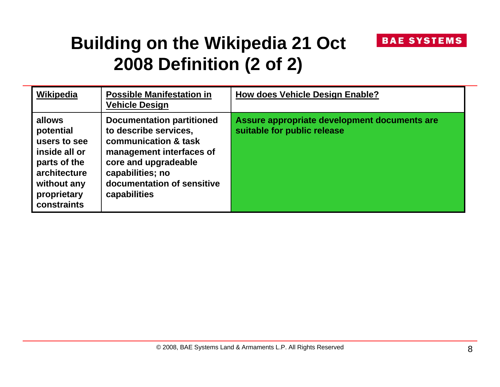# **Building on the Wikipedia 21 Oct 2008 Definition (2 of 2)**

| Wikipedia                                                                                                                         | <b>Possible Manifestation in</b><br><b>Vehicle Design</b>                                                                                                                                               | <b>How does Vehicle Design Enable?</b>                                      |
|-----------------------------------------------------------------------------------------------------------------------------------|---------------------------------------------------------------------------------------------------------------------------------------------------------------------------------------------------------|-----------------------------------------------------------------------------|
| allows<br>potential<br>users to see<br>inside all or<br>parts of the<br>architecture<br>without any<br>proprietary<br>constraints | <b>Documentation partitioned</b><br>to describe services,<br>communication & task<br>management interfaces of<br>core and upgradeable<br>capabilities; no<br>documentation of sensitive<br>capabilities | Assure appropriate development documents are<br>suitable for public release |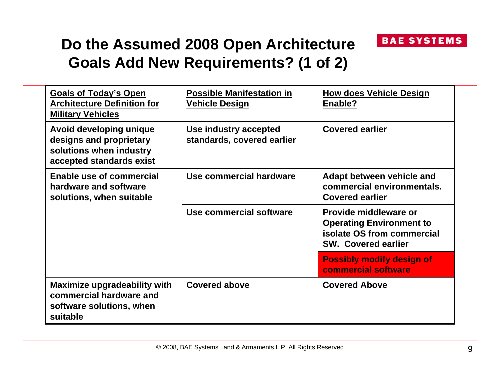#### **Do the Assumed 2008 Open Architecture Goals Add New Requirements? (1 of 2)**

| <b>Goals of Today's Open</b><br><b>Architecture Definition for</b><br><b>Military Vehicles</b>            | <b>Possible Manifestation in</b><br><b>Vehicle Design</b> | <b>How does Vehicle Design</b><br>Enable?                                                                            |
|-----------------------------------------------------------------------------------------------------------|-----------------------------------------------------------|----------------------------------------------------------------------------------------------------------------------|
| Avoid developing unique<br>designs and proprietary<br>solutions when industry<br>accepted standards exist | Use industry accepted<br>standards, covered earlier       | <b>Covered earlier</b>                                                                                               |
| Enable use of commercial<br>hardware and software<br>solutions, when suitable                             | Use commercial hardware                                   | Adapt between vehicle and<br>commercial environmentals.<br><b>Covered earlier</b>                                    |
|                                                                                                           | Use commercial software                                   | Provide middleware or<br><b>Operating Environment to</b><br>isolate OS from commercial<br><b>SW. Covered earlier</b> |
|                                                                                                           |                                                           | <b>Possibly modify design of</b><br><b>commercial software</b>                                                       |
| <b>Maximize upgradeability with</b><br>commercial hardware and<br>software solutions, when<br>suitable    | <b>Covered above</b>                                      | <b>Covered Above</b>                                                                                                 |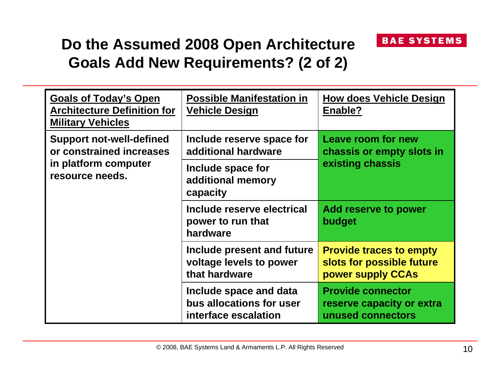#### **Do the Assumed 2008 Open Architecture Goals Add New Requirements? (2 of 2)**

| <b>Goals of Today's Open</b><br><b>Architecture Definition for</b><br><b>Military Vehicles</b>         | <b>Possible Manifestation in</b><br><b>Vehicle Design</b>                  | <b>How does Vehicle Design</b><br>Enable?                                        |
|--------------------------------------------------------------------------------------------------------|----------------------------------------------------------------------------|----------------------------------------------------------------------------------|
| <b>Support not-well-defined</b><br>or constrained increases<br>in platform computer<br>resource needs. | Include reserve space for<br>additional hardware                           | <b>Leave room for new</b><br>chassis or empty slots in<br>existing chassis       |
|                                                                                                        | Include space for<br>additional memory<br>capacity                         |                                                                                  |
|                                                                                                        | Include reserve electrical<br>power to run that<br>hardware                | <b>Add reserve to power</b><br>budget                                            |
|                                                                                                        | Include present and future<br>voltage levels to power<br>that hardware     | <b>Provide traces to empty</b><br>slots for possible future<br>power supply CCAs |
|                                                                                                        | Include space and data<br>bus allocations for user<br>interface escalation | <b>Provide connector</b><br>reserve capacity or extra<br>unused connectors       |